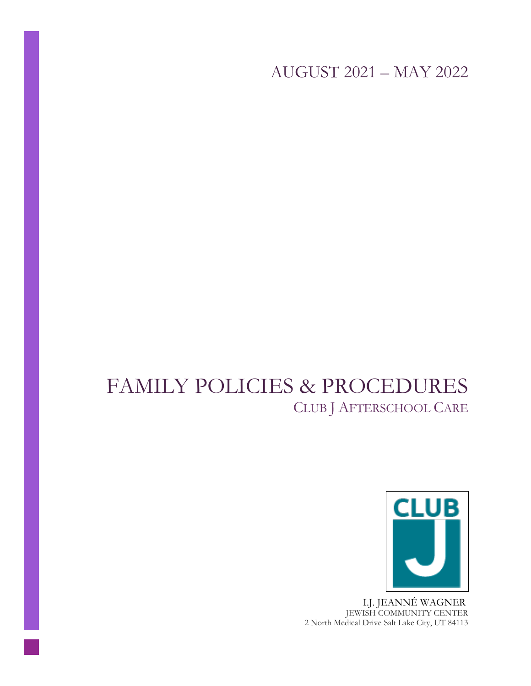AUGUST 2021 – MAY 2022

# FAMILY POLICIES & PROCEDURES CLUB J AFTERSCHOOL CARE



 I.J. JEANNÉ WAGNER JEWISH COMMUNITY CENTER 2 North Medical Drive Salt Lake City, UT 84113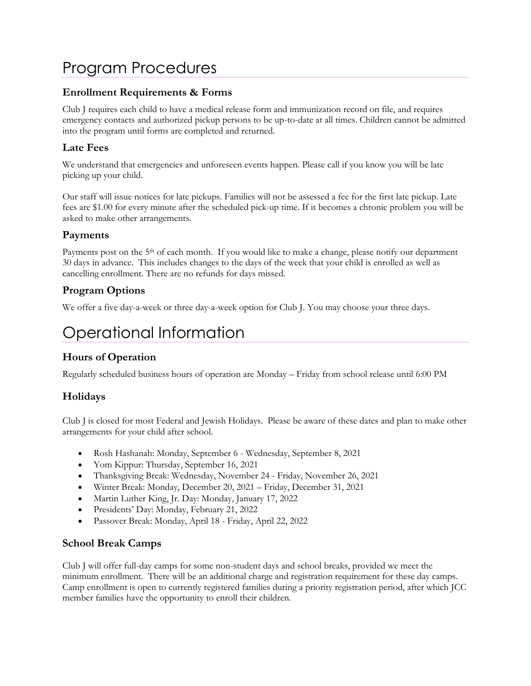# Program Procedures

#### **Enrollment Requirements & Forms**

Club J requires each child to have a medical release form and immunization record on file, and requires emergency contacts and authorized pickup persons to be up-to-date at all times. Children cannot be admitted into the program until forms are completed and returned.

#### **Late Fees**

We understand that emergencies and unforeseen events happen. Please call if you know you will be late picking up your child.

Our staff will issue notices for late pickups. Families will not be assessed a fee for the first late pickup. Late fees are \$1.00 for every minute after the scheduled pick-up time. If it becomes a chronic problem you will be asked to make other arrangements.

#### **Payments**

Payments post on the 5<sup>th</sup> of each month. If you would like to make a change, please notify our department 30 days in advance. This includes changes to the days of the week that your child is enrolled as well as cancelling enrollment. There are no refunds for days missed.

#### **Program Options**

We offer a five day-a-week or three day-a-week option for Club J. You may choose your three days.

# Operational Information

### **Hours of Operation**

Regularly scheduled business hours of operation are Monday – Friday from school release until 6:00 PM

### **Holidays**

Club J is closed for most Federal and Jewish Holidays. Please be aware of these dates and plan to make other arrangements for your child after school.

- Rosh Hashanah: Monday, September 6 Wednesday, September 8, 2021
- Yom Kippur: Thursday, September 16, 2021
- Thanksgiving Break: Wednesday, November 24 Friday, November 26, 2021
- Winter Break: Monday, December 20, 2021 Friday, December 31, 2021
- Martin Luther King, Jr. Day: Monday, January 17, 2022
- Presidents' Day: Monday, February 21, 2022
- Passover Break: Monday, April 18 Friday, April 22, 2022

#### **School Break Camps**

Club J will offer full-day camps for some non-student days and school breaks, provided we meet the minimum enrollment. There will be an additional charge and registration requirement for these day camps. Camp enrollment is open to currently registered families during a priority registration period, after which JCC member families have the opportunity to enroll their children.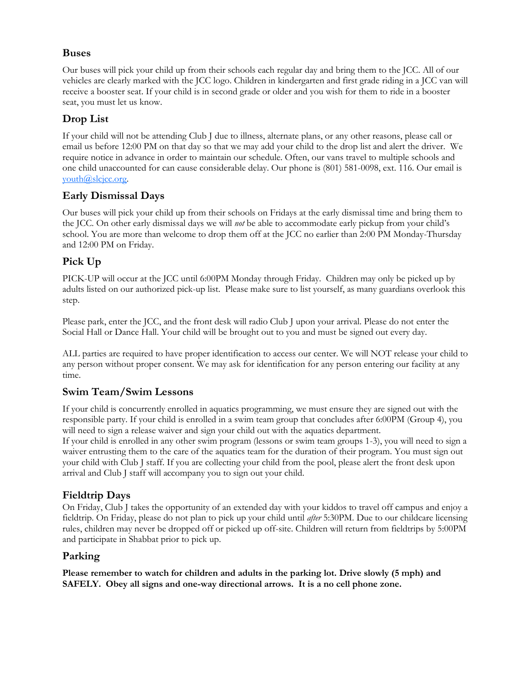#### **Buses**

Our buses will pick your child up from their schools each regular day and bring them to the JCC. All of our vehicles are clearly marked with the JCC logo. Children in kindergarten and first grade riding in a JCC van will receive a booster seat. If your child is in second grade or older and you wish for them to ride in a booster seat, you must let us know.

# **Drop List**

If your child will not be attending Club J due to illness, alternate plans, or any other reasons, please call or email us before 12:00 PM on that day so that we may add your child to the drop list and alert the driver. We require notice in advance in order to maintain our schedule. Often, our vans travel to multiple schools and one child unaccounted for can cause considerable delay. Our phone is (801) 581-0098, ext. 116. Our email is [youth@slcjcc.org.](mailto:youth@slcjcc.org)

### **Early Dismissal Days**

Our buses will pick your child up from their schools on Fridays at the early dismissal time and bring them to the JCC. On other early dismissal days we will *not* be able to accommodate early pickup from your child's school. You are more than welcome to drop them off at the JCC no earlier than 2:00 PM Monday-Thursday and 12:00 PM on Friday.

### **Pick Up**

PICK-UP will occur at the JCC until 6:00PM Monday through Friday. Children may only be picked up by adults listed on our authorized pick-up list. Please make sure to list yourself, as many guardians overlook this step.

Please park, enter the JCC, and the front desk will radio Club J upon your arrival. Please do not enter the Social Hall or Dance Hall. Your child will be brought out to you and must be signed out every day.

ALL parties are required to have proper identification to access our center. We will NOT release your child to any person without proper consent. We may ask for identification for any person entering our facility at any time.

### **Swim Team/Swim Lessons**

If your child is concurrently enrolled in aquatics programming, we must ensure they are signed out with the responsible party. If your child is enrolled in a swim team group that concludes after 6:00PM (Group 4), you will need to sign a release waiver and sign your child out with the aquatics department.

If your child is enrolled in any other swim program (lessons or swim team groups 1-3), you will need to sign a waiver entrusting them to the care of the aquatics team for the duration of their program. You must sign out your child with Club J staff. If you are collecting your child from the pool, please alert the front desk upon arrival and Club J staff will accompany you to sign out your child.

### **Fieldtrip Days**

On Friday, Club J takes the opportunity of an extended day with your kiddos to travel off campus and enjoy a fieldtrip. On Friday, please do not plan to pick up your child until *after* 5:30PM. Due to our childcare licensing rules, children may never be dropped off or picked up off-site. Children will return from fieldtrips by 5:00PM and participate in Shabbat prior to pick up.

#### **Parking**

**Please remember to watch for children and adults in the parking lot. Drive slowly (5 mph) and SAFELY. Obey all signs and one-way directional arrows. It is a no cell phone zone.**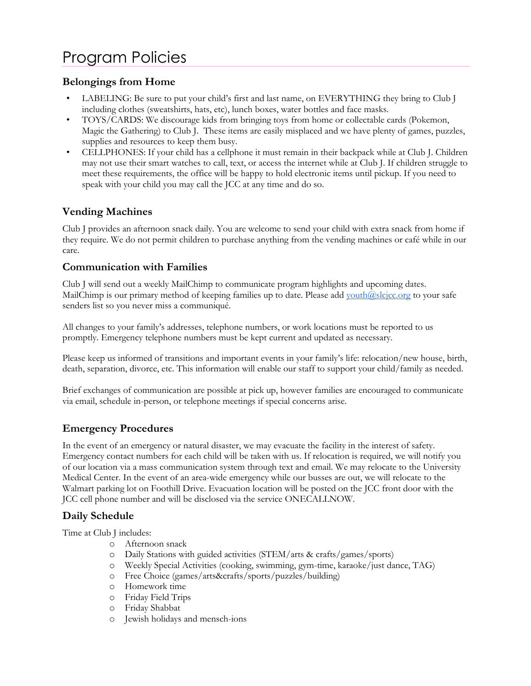# Program Policies

#### **Belongings from Home**

- LABELING: Be sure to put your child's first and last name, on EVERYTHING they bring to Club J including clothes (sweatshirts, hats, etc), lunch boxes, water bottles and face masks.
- TOYS/CARDS: We discourage kids from bringing toys from home or collectable cards (Pokemon, Magic the Gathering) to Club J. These items are easily misplaced and we have plenty of games, puzzles, supplies and resources to keep them busy.
- CELLPHONES: If your child has a cellphone it must remain in their backpack while at Club J. Children may not use their smart watches to call, text, or access the internet while at Club J. If children struggle to meet these requirements, the office will be happy to hold electronic items until pickup. If you need to speak with your child you may call the JCC at any time and do so.

### **Vending Machines**

Club J provides an afternoon snack daily. You are welcome to send your child with extra snack from home if they require. We do not permit children to purchase anything from the vending machines or café while in our care.

#### **Communication with Families**

Club J will send out a weekly MailChimp to communicate program highlights and upcoming dates. MailChimp is our primary method of keeping families up to date. Please add youth $@slcjcc.org$  to your safe senders list so you never miss a communiqué.

All changes to your family's addresses, telephone numbers, or work locations must be reported to us promptly. Emergency telephone numbers must be kept current and updated as necessary.

Please keep us informed of transitions and important events in your family's life: relocation/new house, birth, death, separation, divorce, etc. This information will enable our staff to support your child/family as needed.

Brief exchanges of communication are possible at pick up, however families are encouraged to communicate via email, schedule in-person, or telephone meetings if special concerns arise.

### **Emergency Procedures**

In the event of an emergency or natural disaster, we may evacuate the facility in the interest of safety. Emergency contact numbers for each child will be taken with us. If relocation is required, we will notify you of our location via a mass communication system through text and email. We may relocate to the University Medical Center. In the event of an area-wide emergency while our busses are out, we will relocate to the Walmart parking lot on Foothill Drive. Evacuation location will be posted on the JCC front door with the JCC cell phone number and will be disclosed via the service ONECALLNOW.

#### **Daily Schedule**

Time at Club J includes:

- o Afternoon snack
- o Daily Stations with guided activities (STEM/arts & crafts/games/sports)
- o Weekly Special Activities (cooking, swimming, gym-time, karaoke/just dance, TAG)
- o Free Choice (games/arts&crafts/sports/puzzles/building)
- o Homework time
- o Friday Field Trips
- o Friday Shabbat
- o Jewish holidays and mensch-ions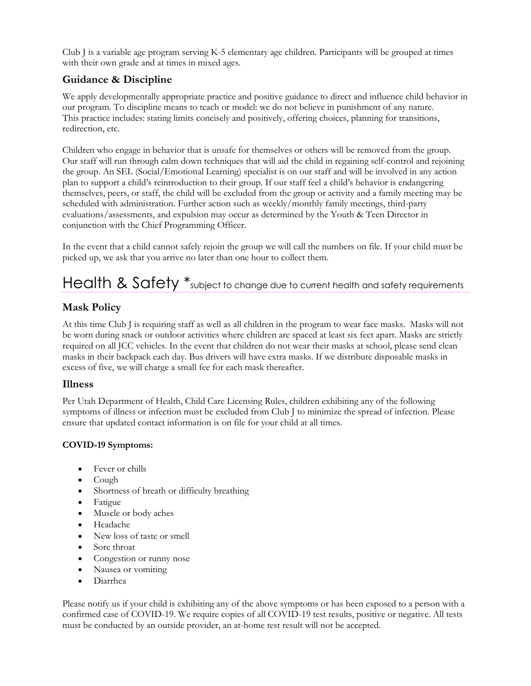Club J is a variable age program serving K-5 elementary age children. Participants will be grouped at times with their own grade and at times in mixed ages.

### **Guidance & Discipline**

We apply developmentally appropriate practice and positive guidance to direct and influence child behavior in our program. To discipline means to teach or model: we do not believe in punishment of any nature. This practice includes: stating limits concisely and positively, offering choices, planning for transitions, redirection, etc.

Children who engage in behavior that is unsafe for themselves or others will be removed from the group. Our staff will run through calm down techniques that will aid the child in regaining self-control and rejoining the group. An SEL (Social/Emotional Learning) specialist is on our staff and will be involved in any action plan to support a child's reintroduction to their group. If our staff feel a child's behavior is endangering themselves, peers, or staff, the child will be excluded from the group or activity and a family meeting may be scheduled with administration. Further action such as weekly/monthly family meetings, third-party evaluations/assessments, and expulsion may occur as determined by the Youth & Teen Director in conjunction with the Chief Programming Officer.

In the event that a child cannot safely rejoin the group we will call the numbers on file. If your child must be picked up, we ask that you arrive no later than one hour to collect them.

# Health & Safety  $*$  subject to change due to current health and safety requirements

# **Mask Policy**

At this time Club J is requiring staff as well as all children in the program to wear face masks. Masks will not be worn during snack or outdoor activities where children are spaced at least six feet apart. Masks are strictly required on all JCC vehicles. In the event that children do not wear their masks at school, please send clean masks in their backpack each day. Bus drivers will have extra masks. If we distribute disposable masks in excess of five, we will charge a small fee for each mask thereafter.

#### **Illness**

Per Utah Department of Health, Child Care Licensing Rules, children exhibiting any of the following symptoms of illness or infection must be excluded from Club J to minimize the spread of infection. Please ensure that updated contact information is on file for your child at all times.

#### **COVID-19 Symptoms:**

- Fever or chills
- Cough
- Shortness of breath or difficulty breathing
- Fatigue
- Muscle or body aches
- Headache
- New loss of taste or smell
- Sore throat
- Congestion or runny nose
- Nausea or vomiting
- Diarrhea

Please notify us if your child is exhibiting any of the above symptoms or has been exposed to a person with a confirmed case of COVID-19. We require copies of all COVID-19 test results, positive or negative. All tests must be conducted by an outside provider, an at-home test result will not be accepted.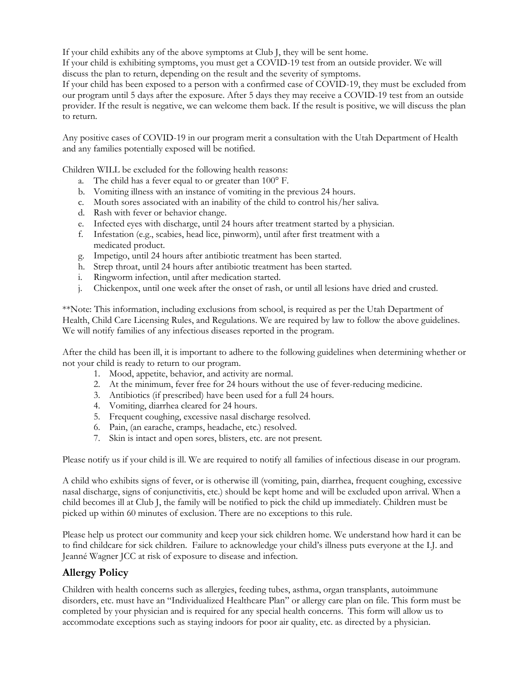If your child exhibits any of the above symptoms at Club J, they will be sent home.

If your child is exhibiting symptoms, you must get a COVID-19 test from an outside provider. We will discuss the plan to return, depending on the result and the severity of symptoms.

If your child has been exposed to a person with a confirmed case of COVID-19, they must be excluded from our program until 5 days after the exposure. After 5 days they may receive a COVID-19 test from an outside provider. If the result is negative, we can welcome them back. If the result is positive, we will discuss the plan to return.

Any positive cases of COVID-19 in our program merit a consultation with the Utah Department of Health and any families potentially exposed will be notified.

Children WILL be excluded for the following health reasons:

- a. The child has a fever equal to or greater than 100° F.
- b. Vomiting illness with an instance of vomiting in the previous 24 hours.
- c. Mouth sores associated with an inability of the child to control his/her saliva.
- d. Rash with fever or behavior change.
- e. Infected eyes with discharge, until 24 hours after treatment started by a physician.
- f. Infestation (e.g., scabies, head lice, pinworm), until after first treatment with a medicated product.
- g. Impetigo, until 24 hours after antibiotic treatment has been started.
- h. Strep throat, until 24 hours after antibiotic treatment has been started.
- i. Ringworm infection, until after medication started.
- j. Chickenpox, until one week after the onset of rash, or until all lesions have dried and crusted.

\*\*Note: This information, including exclusions from school, is required as per the Utah Department of Health, Child Care Licensing Rules, and Regulations. We are required by law to follow the above guidelines. We will notify families of any infectious diseases reported in the program.

After the child has been ill, it is important to adhere to the following guidelines when determining whether or not your child is ready to return to our program.

- 1. Mood, appetite, behavior, and activity are normal.
- 2. At the minimum, fever free for 24 hours without the use of fever-reducing medicine.
- 3. Antibiotics (if prescribed) have been used for a full 24 hours.
- 4. Vomiting, diarrhea cleared for 24 hours.
- 5. Frequent coughing, excessive nasal discharge resolved.
- 6. Pain, (an earache, cramps, headache, etc.) resolved.
- 7. Skin is intact and open sores, blisters, etc. are not present.

Please notify us if your child is ill. We are required to notify all families of infectious disease in our program.

A child who exhibits signs of fever, or is otherwise ill (vomiting, pain, diarrhea, frequent coughing, excessive nasal discharge, signs of conjunctivitis, etc.) should be kept home and will be excluded upon arrival. When a child becomes ill at Club J, the family will be notified to pick the child up immediately. Children must be picked up within 60 minutes of exclusion. There are no exceptions to this rule.

Please help us protect our community and keep your sick children home. We understand how hard it can be to find childcare for sick children. Failure to acknowledge your child's illness puts everyone at the I.J. and Jeanné Wagner JCC at risk of exposure to disease and infection.

#### **Allergy Policy**

Children with health concerns such as allergies, feeding tubes, asthma, organ transplants, autoimmune disorders, etc. must have an "Individualized Healthcare Plan" or allergy care plan on file. This form must be completed by your physician and is required for any special health concerns. This form will allow us to accommodate exceptions such as staying indoors for poor air quality, etc. as directed by a physician.